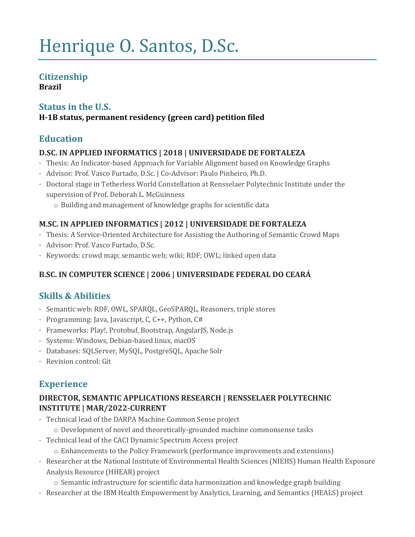# Henrique O. Santos, D.Sc.

# **Citizenship**

**Brazil**

# **Status in the U.S.**

## **H-1B status, permanent residency (green card) petition filed**

# **Education**

#### **D.SC. IN APPLIED INFORMATICS | 2018 | UNIVERSIDADE DE FORTALEZA**

- Thesis: An Indicator-based Approach for Variable Alignment based on Knowledge Graphs
- · Advisor: Prof. Vasco Furtado, D.Sc. | Co-Advisor: Paulo Pinheiro, Ph.D.
- Doctoral stage in Tetherless World Constellation at Rensselaer Polytechnic Institute under the supervision of Prof. Deborah L. McGuinness
	- $\circ$  Building and management of knowledge graphs for scientific data

#### **M.SC. IN APPLIED INFORMATICS | 2012 | UNIVERSIDADE DE FORTALEZA**

- Thesis: A Service-Oriented Architecture for Assisting the Authoring of Semantic Crowd Maps
- Advisor: Prof. Vasco Furtado, D.Sc.
- · Keywords: crowd map; semantic web; wiki; RDF; OWL; linked open data

## **B.SC. IN COMPUTER SCIENCE | 2006 | UNIVERSIDADE FEDERAL DO CEARÁ**

# **Skills & Abilities**

- · Semantic web: RDF, OWL, SPARQL, GeoSPARQL, Reasoners, triple stores
- Programming: Java, Javascript, C, C++, Python, C#
- · Frameworks: Play!, Protobuf, Bootstrap, AngularJS, Node.js
- · Systems: Windows, Debian-based linux, macOS
- · Databases: SQLServer, MySQL, PostgreSQL, Apache Solr
- · Revision control: Git

# **Experience**

#### **DIRECTOR, SEMANTIC APPLICATIONS RESEARCH | RENSSELAER POLYTECHNIC INSTITUTE | MAR/2022-CURRENT**

- · Technical lead of the DARPA Machine Common Sense project
	- $\circ$  Development of novel and theoretically-grounded machine commonsense tasks
- Technical lead of the CACI Dynamic Spectrum Access project
	- $\circ$  Enhancements to the Policy Framework (performance improvements and extensions)
- Researcher at the National Institute of Environmental Health Sciences (NIEHS) Human Health Exposure Analysis Resource (HHEAR) project
	- $\circ$  Semantic infrastructure for scientific data harmonization and knowledge graph building
- Researcher at the IBM Health Empowerment by Analytics, Learning, and Semantics (HEALS) project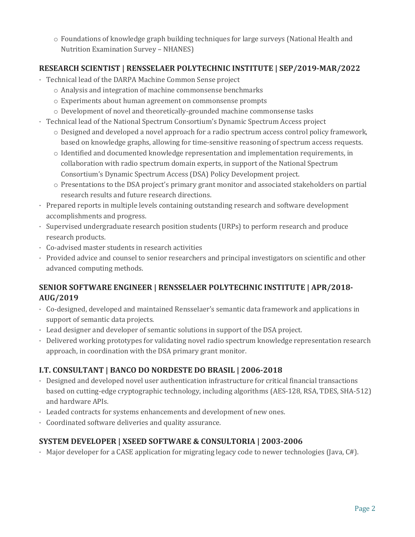$\circ$  Foundations of knowledge graph building techniques for large surveys (National Health and Nutrition Examination Survey - NHANES)

#### **RESEARCH SCIENTIST | RENSSELAER POLYTECHNIC INSTITUTE | SEP/2019-MAR/2022**

- · Technical lead of the DARPA Machine Common Sense project
	- $\circ$  Analysis and integration of machine commonsense benchmarks
	- $\circ$  Experiments about human agreement on commonsense prompts
	- $\circ$  Development of novel and theoretically-grounded machine commonsense tasks
- · Technical lead of the National Spectrum Consortium's Dynamic Spectrum Access project
	- $\circ$  Designed and developed a novel approach for a radio spectrum access control policy framework, based on knowledge graphs, allowing for time-sensitive reasoning of spectrum access requests.
	- o Identified and documented knowledge representation and implementation requirements, in collaboration with radio spectrum domain experts, in support of the National Spectrum Consortium's Dynamic Spectrum Access (DSA) Policy Development project.
	- $\circ$  Presentations to the DSA project's primary grant monitor and associated stakeholders on partial research results and future research directions.
- Prepared reports in multiple levels containing outstanding research and software development accomplishments and progress.
- Supervised undergraduate research position students (URPs) to perform research and produce research products.
- · Co-advised master students in research activities
- $\cdot$  Provided advice and counsel to senior researchers and principal investigators on scientific and other advanced computing methods.

#### **SENIOR SOFTWARE ENGINEER | RENSSELAER POLYTECHNIC INSTITUTE | APR/2018- AUG/2019**

- Co-designed, developed and maintained Rensselaer's semantic data framework and applications in support of semantic data projects.
- $\cdot$  Lead designer and developer of semantic solutions in support of the DSA project.
- Delivered working prototypes for validating novel radio spectrum knowledge representation research approach, in coordination with the DSA primary grant monitor.

#### **I.T. CONSULTANT | BANCO DO NORDESTE DO BRASIL | 2006-2018**

- Designed and developed novel user authentication infrastructure for critical financial transactions based on cutting-edge cryptographic technology, including algorithms (AES-128, RSA, TDES, SHA-512) and hardware APIs.
- Leaded contracts for systems enhancements and development of new ones.
- Coordinated software deliveries and quality assurance.

#### **SYSTEM DEVELOPER | XSEED SOFTWARE & CONSULTORIA | 2003-2006**

 $\cdot$  Major developer for a CASE application for migrating legacy code to newer technologies (Java, C#).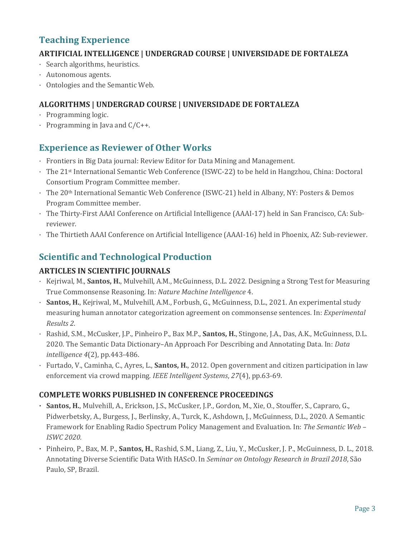# **Teaching Experience**

#### **ARTIFICIAL INTELLIGENCE | UNDERGRAD COURSE | UNIVERSIDADE DE FORTALEZA**

- $\cdot$  Search algorithms, heuristics.
- · Autonomous agents.
- $\cdot$  Ontologies and the Semantic Web.

#### **ALGORITHMS | UNDERGRAD COURSE | UNIVERSIDADE DE FORTALEZA**

- $\cdot$  Programming logic.
- $\cdot$  Programming in Java and C/C++.

## **Experience as Reviewer of Other Works**

- Frontiers in Big Data journal: Review Editor for Data Mining and Management.
- The 21<sup>st</sup> International Semantic Web Conference (ISWC-22) to be held in Hangzhou, China: Doctoral Consortium Program Committee member.
- The 20<sup>th</sup> International Semantic Web Conference (ISWC-21) held in Albany, NY: Posters & Demos Program Committee member.
- · The Thirty-First AAAI Conference on Artificial Intelligence (AAAI-17) held in San Francisco, CA: Subreviewer.
- · The Thirtieth AAAI Conference on Artificial Intelligence (AAAI-16) held in Phoenix, AZ: Sub-reviewer.

# **Scientific and Technological Production**

#### **ARTICLES IN SCIENTIFIC JOURNALS**

- · Kejriwal, M., **Santos, H.**, Mulvehill, A.M., McGuinness, D.L. 2022. Designing a Strong Test for Measuring True Commonsense Reasoning. In: *Nature Machine Intelligence* 4.
- · Santos, H., Kejriwal, M., Mulvehill, A.M., Forbush, G., McGuinness, D.L., 2021. An experimental study measuring human annotator categorization agreement on commonsense sentences. In: *Experimental Results 2*.
- · Rashid, S.M., McCusker, J.P., Pinheiro P., Bax M.P., **Santos, H.**, Stingone, J.A., Das, A.K., McGuinness, D.L. 2020. The Semantic Data Dictionary–An Approach For Describing and Annotating Data. In: *Data intelligence* 4(2), pp.443-486.
- · Furtado, V., Caminha, C., Ayres, L., **Santos, H.**, 2012. Open government and citizen participation in law enforcement via crowd mapping. *IEEE Intelligent Systems*, 27(4), pp.63-69.

#### **COMPLETE WORKS PUBLISHED IN CONFERENCE PROCEEDINGS**

- · **Santos, H.**, Mulvehill, A., Erickson, J.S., McCusker, J.P., Gordon, M., Xie, O., Stouffer, S., Capraro, G., Pidwerbetsky, A., Burgess, J., Berlinsky, A., Turck, K., Ashdown, J., McGuinness, D.L., 2020. A Semantic Framework for Enabling Radio Spectrum Policy Management and Evaluation. In: The Semantic Web -*ISWC 2020.*
- · Pinheiro, P., Bax, M. P., **Santos, H.**, Rashid, S.M., Liang, Z., Liu, Y., McCusker, J. P., McGuinness, D. L., 2018. Annotating Diverse Scientific Data With HAScO. In *Seminar on Ontology Research in Brazil 2018*, São Paulo, SP, Brazil.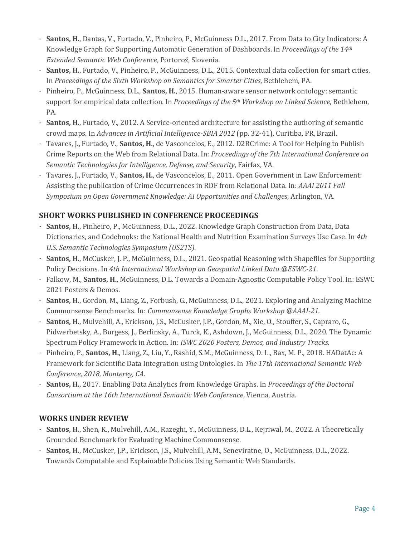- **Santos, H.**, Dantas, V., Furtado, V., Pinheiro, P., McGuinness D.L., 2017. From Data to City Indicators: A Knowledge Graph for Supporting Automatic Generation of Dashboards. In *Proceedings of the* 14<sup>th</sup> *Extended Semantic Web Conference*, Portorož, Slovenia.
- · **Santos, H.**, Furtado, V., Pinheiro, P., McGuinness, D.L., 2015. Contextual data collection for smart cities. In *Proceedings of the Sixth Workshop on Semantics for Smarter Cities*, Bethlehem, PA.
- · Pinheiro, P., McGuinness, D.L., **Santos, H.**, 2015. Human-aware sensor network ontology: semantic support for empirical data collection. In *Proceedings of the 5th Workshop on Linked Science*, Bethlehem, PA.
- **Santos, H.**, Furtado, V., 2012. A Service-oriented architecture for assisting the authoring of semantic crowd maps. In *Advances in Artificial Intelligence-SBIA 2012* (pp. 32-41), Curitiba, PR, Brazil.
- · Tavares, J., Furtado, V., **Santos, H.**, de Vasconcelos, E., 2012. D2RCrime: A Tool for Helping to Publish Crime Reports on the Web from Relational Data. In: *Proceedings of the 7th International Conference on Semantic Technologies for Intelligence, Defense, and Security, Fairfax, VA.*
- · Tavares, J., Furtado, V., **Santos, H.**, de Vasconcelos, E., 2011. Open Government in Law Enforcement: Assisting the publication of Crime Occurrences in RDF from Relational Data. In: *AAAI 2011 Fall Symposium* on Open Government Knowledge: AI Opportunities and Challenges, Arlington, VA.

#### **SHORT WORKS PUBLISHED IN CONFERENCE PROCEEDINGS**

- **Santos, H.**, Pinheiro, P., McGuinness, D.L., 2022. Knowledge Graph Construction from Data, Data Dictionaries, and Codebooks: the National Health and Nutrition Examination Surveys Use Case. In 4th *U.S. Semantic Technologies Symposium (US2TS)*.
- **Santos, H.**, McCusker, J. P., McGuinness, D.L., 2021. Geospatial Reasoning with Shapefiles for Supporting Policy Decisions. In *4th International Workshop on Geospatial Linked Data @ESWC-21*.
- · Falkow, M., **Santos, H.**, McGuinness, D.L. Towards a Domain-Agnostic Computable Policy Tool. In: ESWC 2021 Posters & Demos.
- **Santos, H.**, Gordon, M., Liang, Z., Forbush, G., McGuinness, D.L., 2021. Exploring and Analyzing Machine Commonsense Benchmarks. In: *Commonsense Knowledge Graphs Workshop @AAAI-21.*
- · **Santos, H.**, Mulvehill, A., Erickson, J.S., McCusker, J.P., Gordon, M., Xie, O., Stouffer, S., Capraro, G., Pidwerbetsky, A., Burgess, J., Berlinsky, A., Turck, K., Ashdown, J., McGuinness, D.L., 2020. The Dynamic Spectrum Policy Framework in Action. In: *ISWC 2020 Posters, Demos, and Industry Tracks.*
- · Pinheiro, P., **Santos, H.**, Liang, Z., Liu, Y., Rashid, S.M., McGuinness, D. L., Bax, M. P., 2018. HADatAc: A Framework for Scientific Data Integration using Ontologies. In *The 17th International Semantic Web Conference, 2018, Monterey, CA*.
- **Santos, H.**, 2017. Enabling Data Analytics from Knowledge Graphs. In *Proceedings of the Doctoral Consortium at the 16th International Semantic Web Conference*, Vienna, Austria.

#### **WORKS UNDER REVIEW**

- **Santos, H.**, Shen, K., Mulvehill, A.M., Razeghi, Y., McGuinness, D.L., Kejriwal, M., 2022. A Theoretically Grounded Benchmark for Evaluating Machine Commonsense.
- **Santos, H.**, McCusker, J.P., Erickson, J.S., Mulvehill, A.M., Seneviratne, O., McGuinness, D.L., 2022. Towards Computable and Explainable Policies Using Semantic Web Standards.